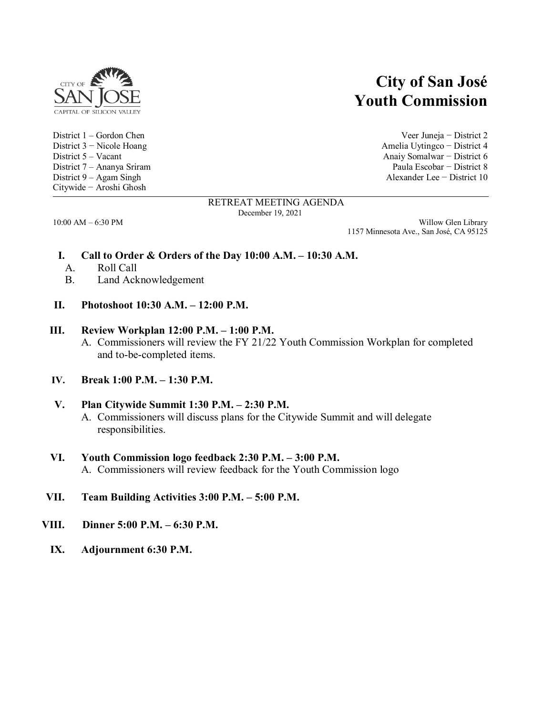

Citywide − Aroshi Ghosh

# **City of San José Youth Commission**

District 1 – Gordon Chen Veer Juneja − District 2 District 3 − Nicole Hoang Amelia Uytingco − District 4 District 5 – Vacant Anaiy Somalwar − District 6 District 7 – Ananya Sriram Paula Escobar − District 8 District 9 – Agam Singh Alexander Lee − District 10

#### RETREAT MEETING AGENDA December 19, 2021

10:00 AM – 6:30 PM Willow Glen Library 1157 Minnesota Ave., San José, CA 95125

## **I. Call to Order & Orders of the Day 10:00 A.M. – 10:30 A.M.**

- A. Roll Call
- B. Land Acknowledgement
- **II. Photoshoot 10:30 A.M. – 12:00 P.M.**

#### **III. Review Workplan 12:00 P.M. – 1:00 P.M.**

- A. Commissioners will review the FY 21/22 Youth Commission Workplan for completed and to-be-completed items.
- **IV. Break 1:00 P.M. – 1:30 P.M.**

## **V. Plan Citywide Summit 1:30 P.M. – 2:30 P.M.**

A. Commissioners will discuss plans for the Citywide Summit and will delegate responsibilities.

## **VI. Youth Commission logo feedback 2:30 P.M. – 3:00 P.M.**

- A. Commissioners will review feedback for the Youth Commission logo
- **VII. Team Building Activities 3:00 P.M. – 5:00 P.M.**
- **VIII. Dinner 5:00 P.M. – 6:30 P.M.**
	- **IX. Adjournment 6:30 P.M.**